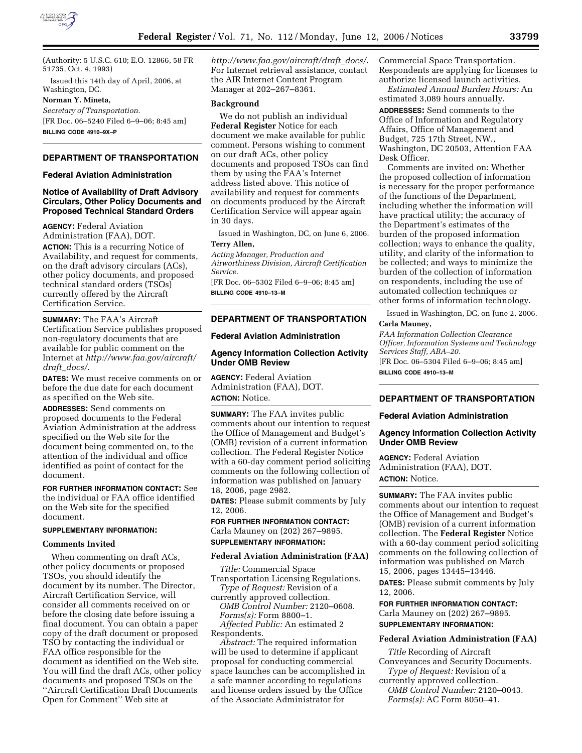

(Authority: 5 U.S.C. 610; E.O. 12866, 58 FR 51735, Oct. 4, 1993)

Issued this 14th day of April, 2006, at Washington, DC.

### **Norman Y. Mineta,**

*Secretary of Transportation.*  [FR Doc. 06–5240 Filed 6–9–06; 8:45 am] **BILLING CODE 4910–9X–P** 

# **DEPARTMENT OF TRANSPORTATION**

# **Federal Aviation Administration**

# **Notice of Availability of Draft Advisory Circulars, Other Policy Documents and Proposed Technical Standard Orders**

**AGENCY:** Federal Aviation Administration (FAA), DOT.

**ACTION:** This is a recurring Notice of Availability, and request for comments, on the draft advisory circulars (ACs), other policy documents, and proposed technical standard orders (TSOs) currently offered by the Aircraft Certification Service.

**SUMMARY:** The FAA's Aircraft Certification Service publishes proposed non-regulatory documents that are available for public comment on the Internet at *http://www.faa.gov/aircraft/ draft*\_*docs/*.

**DATES:** We must receive comments on or before the due date for each document as specified on the Web site.

**ADDRESSES:** Send comments on proposed documents to the Federal Aviation Administration at the address specified on the Web site for the document being commented on, to the attention of the individual and office identified as point of contact for the document.

**FOR FURTHER INFORMATION CONTACT:** See the individual or FAA office identified on the Web site for the specified document.

#### **SUPPLEMENTARY INFORMATION:**

### **Comments Invited**

When commenting on draft ACs, other policy documents or proposed TSOs, you should identify the document by its number. The Director, Aircraft Certification Service, will consider all comments received on or before the closing date before issuing a final document. You can obtain a paper copy of the draft document or proposed TSO by contacting the individual or FAA office responsible for the document as identified on the Web site. You will find the draft ACs, other policy documents and proposed TSOs on the ''Aircraft Certification Draft Documents Open for Comment'' Web site at

*http://www.faa.gov/aircraft/draft*\_*docs/*. For Internet retrieval assistance, contact the AIR Internet Content Program Manager at 202–267–8361.

### **Background**

We do not publish an individual **Federal Register** Notice for each document we make available for public comment. Persons wishing to comment on our draft ACs, other policy documents and proposed TSOs can find them by using the FAA's Internet address listed above. This notice of availability and request for comments on documents produced by the Aircraft Certification Service will appear again in 30 days.

Issued in Washington, DC, on June 6, 2006. **Terry Allen,** 

*Acting Manager, Production and Airworthiness Division, Aircraft Certification Service.* 

[FR Doc. 06–5302 Filed 6–9–06; 8:45 am] **BILLING CODE 4910–13–M** 

# **DEPARTMENT OF TRANSPORTATION**

## **Federal Aviation Administration**

# **Agency Information Collection Activity Under OMB Review**

**AGENCY:** Federal Aviation Administration (FAA), DOT. **ACTION:** Notice.

**SUMMARY:** The FAA invites public comments about our intention to request the Office of Management and Budget's (OMB) revision of a current information collection. The Federal Register Notice with a 60-day comment period soliciting comments on the following collection of information was published on January 18, 2006, page 2982.

**DATES:** Please submit comments by July 12, 2006.

**FOR FURTHER INFORMATION CONTACT:**  Carla Mauney on (202) 267–9895.

# **SUPPLEMENTARY INFORMATION:**

#### **Federal Aviation Administration (FAA)**

*Title:* Commercial Space Transportation Licensing Regulations.

*Type of Request:* Revision of a currently approved collection. *OMB Control Number:* 2120–0608. *Forms(s):* Form 8800–1.

*Affected Public:* An estimated 2 Respondents.

*Abstract:* The required information will be used to determine if applicant proposal for conducting commercial space launches can be accomplished in a safe manner according to regulations and license orders issued by the Office of the Associate Administrator for

Commercial Space Transportation. Respondents are applying for licenses to authorize licensed launch activities.

*Estimated Annual Burden Hours:* An estimated 3,089 hours annually.

**ADDRESSES:** Send comments to the Office of Information and Regulatory Affairs, Office of Management and Budget, 725 17th Street, NW., Washington, DC 20503, Attention FAA Desk Officer.

Comments are invited on: Whether the proposed collection of information is necessary for the proper performance of the functions of the Department, including whether the information will have practical utility; the accuracy of the Department's estimates of the burden of the proposed information collection; ways to enhance the quality, utility, and clarity of the information to be collected; and ways to minimize the burden of the collection of information on respondents, including the use of automated collection techniques or other forms of information technology.

Issued in Washington, DC, on June 2, 2006. **Carla Mauney,** 

*FAA Information Collection Clearance Officer, Information Systems and Technology* 

*Services Staff, ABA–20.*  [FR Doc. 06–5304 Filed 6–9–06; 8:45 am] **BILLING CODE 4910–13–M** 

# **DEPARTMENT OF TRANSPORTATION**

#### **Federal Aviation Administration**

# **Agency Information Collection Activity Under OMB Review**

**AGENCY:** Federal Aviation Administration (FAA), DOT. **ACTION:** Notice.

**SUMMARY:** The FAA invites public comments about our intention to request the Office of Management and Budget's (OMB) revision of a current information collection. The **Federal Register** Notice with a 60-day comment period soliciting comments on the following collection of information was published on March 15, 2006, pages 13445–13446.

**DATES:** Please submit comments by July 12, 2006.

**FOR FURTHER INFORMATION CONTACT:**  Carla Mauney on (202) 267–9895.

**SUPPLEMENTARY INFORMATION:** 

#### **Federal Aviation Administration (FAA)**

*Title* Recording of Aircraft Conveyances and Security Documents. *Type of Request:* Revision of a currently approved collection.

*OMB Control Number:* 2120–0043. *Forms(s):* AC Form 8050–41.